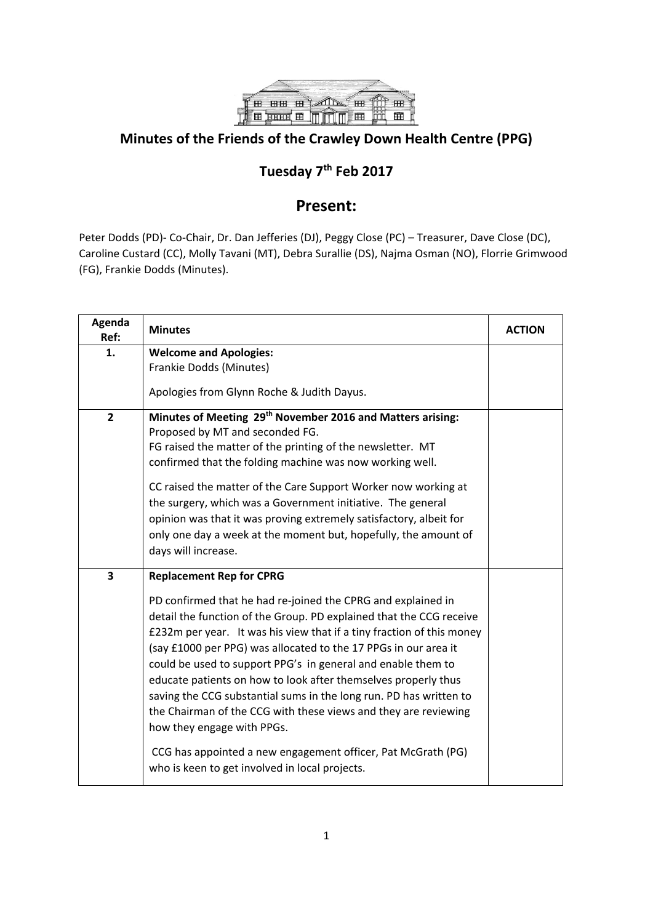

## **Minutes of the Friends of the Crawley Down Health Centre (PPG)**

## **Tuesday 7th Feb 2017**

## **Present:**

Peter Dodds (PD)- Co-Chair, Dr. Dan Jefferies (DJ), Peggy Close (PC) – Treasurer, Dave Close (DC), Caroline Custard (CC), Molly Tavani (MT), Debra Surallie (DS), Najma Osman (NO), Florrie Grimwood (FG), Frankie Dodds (Minutes).

| Agenda<br>Ref: | <b>Minutes</b>                                                                                                                                                                                                                                                                                                                                                                                                                                                                                                                                                                                                                                                                                                                                | <b>ACTION</b> |
|----------------|-----------------------------------------------------------------------------------------------------------------------------------------------------------------------------------------------------------------------------------------------------------------------------------------------------------------------------------------------------------------------------------------------------------------------------------------------------------------------------------------------------------------------------------------------------------------------------------------------------------------------------------------------------------------------------------------------------------------------------------------------|---------------|
| 1.             | <b>Welcome and Apologies:</b><br>Frankie Dodds (Minutes)<br>Apologies from Glynn Roche & Judith Dayus.                                                                                                                                                                                                                                                                                                                                                                                                                                                                                                                                                                                                                                        |               |
| $\overline{2}$ | Minutes of Meeting 29 <sup>th</sup> November 2016 and Matters arising:<br>Proposed by MT and seconded FG.<br>FG raised the matter of the printing of the newsletter. MT<br>confirmed that the folding machine was now working well.<br>CC raised the matter of the Care Support Worker now working at<br>the surgery, which was a Government initiative. The general<br>opinion was that it was proving extremely satisfactory, albeit for<br>only one day a week at the moment but, hopefully, the amount of<br>days will increase.                                                                                                                                                                                                          |               |
| 3              | <b>Replacement Rep for CPRG</b><br>PD confirmed that he had re-joined the CPRG and explained in<br>detail the function of the Group. PD explained that the CCG receive<br>£232m per year. It was his view that if a tiny fraction of this money<br>(say £1000 per PPG) was allocated to the 17 PPGs in our area it<br>could be used to support PPG's in general and enable them to<br>educate patients on how to look after themselves properly thus<br>saving the CCG substantial sums in the long run. PD has written to<br>the Chairman of the CCG with these views and they are reviewing<br>how they engage with PPGs.<br>CCG has appointed a new engagement officer, Pat McGrath (PG)<br>who is keen to get involved in local projects. |               |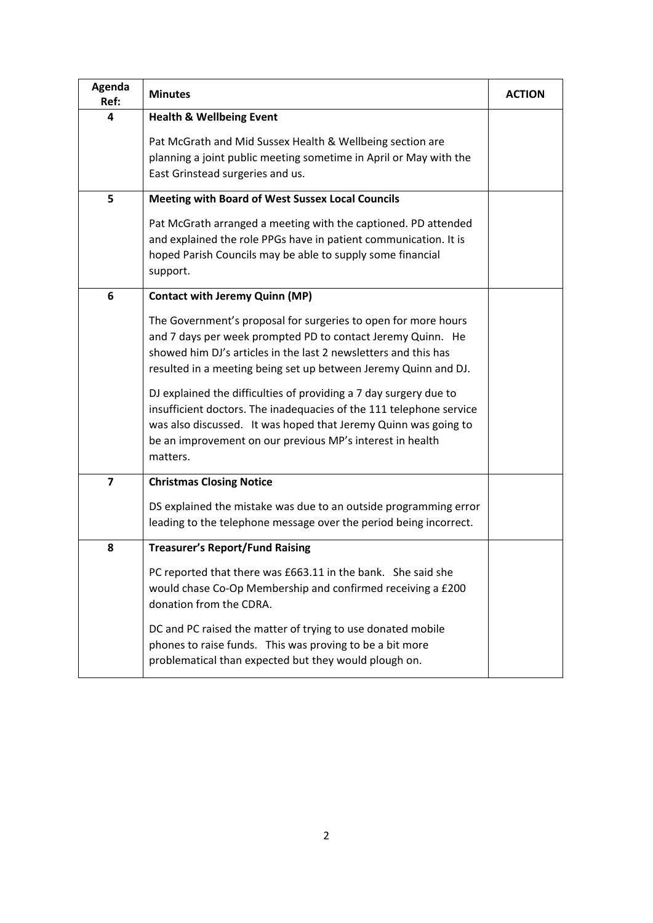| Agenda<br>Ref:          | <b>Minutes</b>                                                                                                                                                                                                                                                                                                                           | <b>ACTION</b> |
|-------------------------|------------------------------------------------------------------------------------------------------------------------------------------------------------------------------------------------------------------------------------------------------------------------------------------------------------------------------------------|---------------|
| 4                       | <b>Health &amp; Wellbeing Event</b>                                                                                                                                                                                                                                                                                                      |               |
|                         | Pat McGrath and Mid Sussex Health & Wellbeing section are<br>planning a joint public meeting sometime in April or May with the<br>East Grinstead surgeries and us.                                                                                                                                                                       |               |
| 5                       | <b>Meeting with Board of West Sussex Local Councils</b>                                                                                                                                                                                                                                                                                  |               |
|                         | Pat McGrath arranged a meeting with the captioned. PD attended<br>and explained the role PPGs have in patient communication. It is<br>hoped Parish Councils may be able to supply some financial<br>support.                                                                                                                             |               |
| 6                       | <b>Contact with Jeremy Quinn (MP)</b>                                                                                                                                                                                                                                                                                                    |               |
|                         | The Government's proposal for surgeries to open for more hours<br>and 7 days per week prompted PD to contact Jeremy Quinn. He<br>showed him DJ's articles in the last 2 newsletters and this has<br>resulted in a meeting being set up between Jeremy Quinn and DJ.<br>DJ explained the difficulties of providing a 7 day surgery due to |               |
|                         | insufficient doctors. The inadequacies of the 111 telephone service<br>was also discussed. It was hoped that Jeremy Quinn was going to<br>be an improvement on our previous MP's interest in health<br>matters.                                                                                                                          |               |
| $\overline{\mathbf{z}}$ | <b>Christmas Closing Notice</b>                                                                                                                                                                                                                                                                                                          |               |
|                         | DS explained the mistake was due to an outside programming error<br>leading to the telephone message over the period being incorrect.                                                                                                                                                                                                    |               |
| 8                       | <b>Treasurer's Report/Fund Raising</b>                                                                                                                                                                                                                                                                                                   |               |
|                         | PC reported that there was £663.11 in the bank. She said she<br>would chase Co-Op Membership and confirmed receiving a £200<br>donation from the CDRA.                                                                                                                                                                                   |               |
|                         | DC and PC raised the matter of trying to use donated mobile<br>phones to raise funds. This was proving to be a bit more<br>problematical than expected but they would plough on.                                                                                                                                                         |               |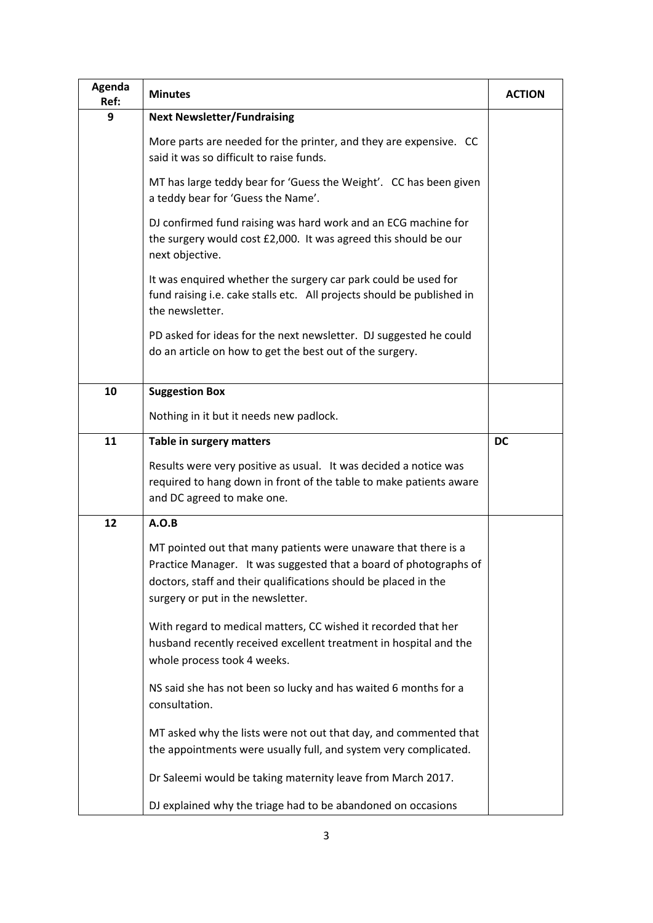| Agenda<br>Ref: | <b>Minutes</b>                                                                                                                                                                                                                              | <b>ACTION</b> |
|----------------|---------------------------------------------------------------------------------------------------------------------------------------------------------------------------------------------------------------------------------------------|---------------|
| 9              | <b>Next Newsletter/Fundraising</b>                                                                                                                                                                                                          |               |
|                | More parts are needed for the printer, and they are expensive. CC<br>said it was so difficult to raise funds.                                                                                                                               |               |
|                | MT has large teddy bear for 'Guess the Weight'. CC has been given<br>a teddy bear for 'Guess the Name'.                                                                                                                                     |               |
|                | DJ confirmed fund raising was hard work and an ECG machine for<br>the surgery would cost £2,000. It was agreed this should be our<br>next objective.                                                                                        |               |
|                | It was enquired whether the surgery car park could be used for<br>fund raising i.e. cake stalls etc. All projects should be published in<br>the newsletter.                                                                                 |               |
|                | PD asked for ideas for the next newsletter. DJ suggested he could<br>do an article on how to get the best out of the surgery.                                                                                                               |               |
| 10             | <b>Suggestion Box</b>                                                                                                                                                                                                                       |               |
|                | Nothing in it but it needs new padlock.                                                                                                                                                                                                     |               |
| 11             | Table in surgery matters                                                                                                                                                                                                                    | DC            |
|                | Results were very positive as usual. It was decided a notice was<br>required to hang down in front of the table to make patients aware<br>and DC agreed to make one.                                                                        |               |
| 12             | A.O.B                                                                                                                                                                                                                                       |               |
|                | MT pointed out that many patients were unaware that there is a<br>Practice Manager. It was suggested that a board of photographs of<br>doctors, staff and their qualifications should be placed in the<br>surgery or put in the newsletter. |               |
|                | With regard to medical matters, CC wished it recorded that her<br>husband recently received excellent treatment in hospital and the<br>whole process took 4 weeks.                                                                          |               |
|                | NS said she has not been so lucky and has waited 6 months for a<br>consultation.                                                                                                                                                            |               |
|                | MT asked why the lists were not out that day, and commented that<br>the appointments were usually full, and system very complicated.                                                                                                        |               |
|                | Dr Saleemi would be taking maternity leave from March 2017.                                                                                                                                                                                 |               |
|                | DJ explained why the triage had to be abandoned on occasions                                                                                                                                                                                |               |